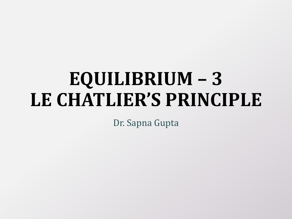# **EQUILIBRIUM – 3 LE CHATLIER'S PRINCIPLE**

Dr. Sapna Gupta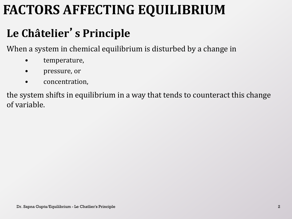# **FACTORS AFFECTING EQUILIBRIUM**

#### **Le Châtelier**'**s Principle**

When a system in chemical equilibrium is disturbed by a change in

- temperature,
- pressure, or
- concentration,

the system shifts in equilibrium in a way that tends to counteract this change of variable.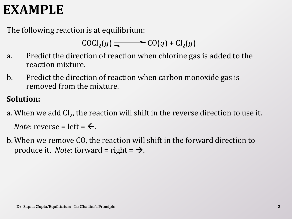### **EXAMPLE**

The following reaction is at equilibrium:

$$
COCl2(g)
$$
  $\longrightarrow$   $CO(g) + Cl2(g)$ 

- a. Predict the direction of reaction when chlorine gas is added to the reaction mixture.
- b. Predict the direction of reaction when carbon monoxide gas is removed from the mixture.

#### **Solution:**

- a. When we add Cl<sub>2</sub>, the reaction will shift in the reverse direction to use it. *Note*: reverse = left =  $\leftarrow$ .
- b.When we remove CO, the reaction will shift in the forward direction to produce it. *Note*: forward = right =  $\rightarrow$ .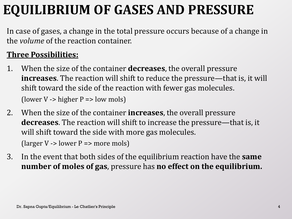# **EQUILIBRIUM OF GASES AND PRESSURE**

In case of gases, a change in the total pressure occurs because of a change in the *volume* of the reaction container.

#### **Three Possibilities:**

- 1. When the size of the container **decreases**, the overall pressure **increases**. The reaction will shift to reduce the pressure—that is, it will shift toward the side of the reaction with fewer gas molecules. (lower V -> higher  $P \Rightarrow$  low mols)
- 2. When the size of the container **increases**, the overall pressure **decreases**. The reaction will shift to increase the pressure—that is, it will shift toward the side with more gas molecules. (larger  $V \rightarrow$  lower  $P \Rightarrow$  more mols)
- 3. In the event that both sides of the equilibrium reaction have the **same number of moles of gas**, pressure has **no effect on the equilibrium.**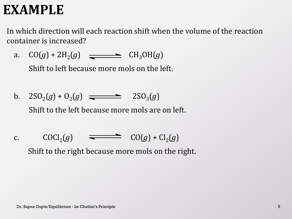### **EXAMPLE**

In which direction will each reaction shift when the volume of the reaction container is increased?

a.  $CO(g) + 2H_2(g)$   $\longrightarrow$   $CH_3OH(g)$ 

Shift to left because more mols on the left.

- b.  $2SO_2(g) + O_2(g) \implies 2SO_3(g)$ Shift to the left because more mols are on left.
- c.  $COCl<sub>2</sub>(g)$   $\longrightarrow$   $CO(g) + Cl<sub>2</sub>(g)$ Shift to the right because more mols on the right.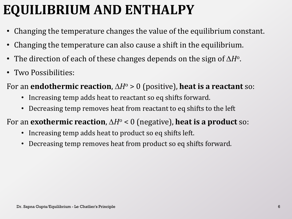# **EQUILIBRIUM AND ENTHALPY**

- Changing the temperature changes the value of the equilibrium constant.
- Changing the temperature can also cause a shift in the equilibrium.
- The direction of each of these changes depends on the sign of  $\Delta H^{\rm o}$ .
- Two Possibilities:

#### For an **endothermic reaction**,  $\Delta H^{\circ} > 0$  (positive), **heat is a reactant** so:

- Increasing temp adds heat to reactant so eq shifts forward.
- Decreasing temp removes heat from reactant to eq shifts to the left

#### For an **exothermic reaction**,  $\Delta H^{\circ} < 0$  (negative), **heat is a product** so:

- Increasing temp adds heat to product so eq shifts left.
- Decreasing temp removes heat from product so eq shifts forward.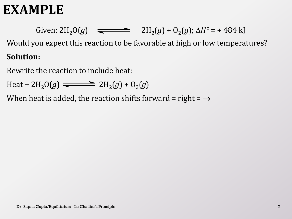### **EXAMPLE**

Given:  $2H_2O(g)$   $\implies$   $2H_2(g) + O_2(g)$ ;  $\Delta H^{\circ} = +484$  kJ Would you expect this reaction to be favorable at high or low temperatures? **Solution:**

Rewrite the reaction to include heat:

Heat +  $2H_2O(g) \implies 2H_2(g) + O_2(g)$ 

When heat is added, the reaction shifts forward = right =  $\rightarrow$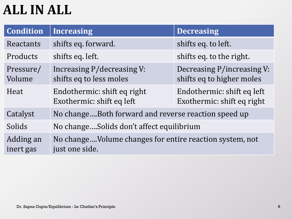# **ALL IN ALL**

| <b>Condition</b>       | <b>Increasing</b>                                                         | <b>Decreasing</b>                                        |
|------------------------|---------------------------------------------------------------------------|----------------------------------------------------------|
| Reactants              | shifts eq. forward.                                                       | shifts eq. to left.                                      |
| Products               | shifts eq. left.                                                          | shifts eq. to the right.                                 |
| Pressure/<br>Volume    | Increasing P/decreasing V:<br>shifts eq to less moles                     | Decreasing P/increasing V:<br>shifts eq to higher moles  |
| Heat                   | Endothermic: shift eq right<br>Exothermic: shift eq left                  | Endothermic: shift eq left<br>Exothermic: shift eq right |
| Catalyst               | No changeBoth forward and reverse reaction speed up                       |                                                          |
| Solids                 | No changeSolids don't affect equilibrium                                  |                                                          |
| Adding an<br>inert gas | No changeVolume changes for entire reaction system, not<br>just one side. |                                                          |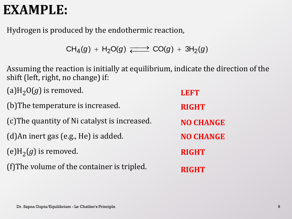### **EXAMPLE:**

Hydrogen is produced by the endothermic reaction,

$$
CH_4(g) + H_2O(g) \xrightarrow{\longrightarrow} CO(g) + 3H_2(g)
$$

Assuming the reaction is initially at equilibrium, indicate the direction of the shift (left, right, no change) if:

 $(a)H_2O(g)$  is removed. (b)The temperature is increased. (c)The quantity of Ni catalyst is increased. (d)An inert gas (e.g., He) is added. (e) $H_2(g)$  is removed. (f)The volume of the container is tripled. **LEFT RIGHT RIGHT RIGHT NO CHANGE NO CHANGE**